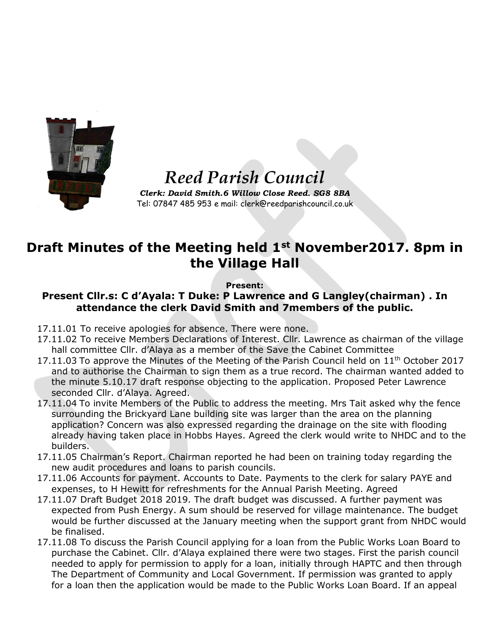

## *Reed Parish Council*

*Clerk: David Smith.6 Willow Close Reed. SG8 8BA* Tel: 07847 485 953 e mail: clerk@reedparishcouncil.co.uk

## **Draft Minutes of the Meeting held 1st November2017. 8pm in the Village Hall**

## **Present:**

## **Present Cllr.s: C d'Ayala: T Duke: P Lawrence and G Langley(chairman) . In attendance the clerk David Smith and 7members of the public.**

- 17.11.01 To receive apologies for absence. There were none.
- 17.11.02 To receive Members Declarations of Interest. Cllr. Lawrence as chairman of the village hall committee Cllr. d'Alaya as a member of the Save the Cabinet Committee
- 17.11.03 To approve the Minutes of the Meeting of the Parish Council held on  $11<sup>th</sup>$  October 2017 and to authorise the Chairman to sign them as a true record. The chairman wanted added to the minute 5.10.17 draft response objecting to the application. Proposed Peter Lawrence seconded Cllr. d'Alaya. Agreed.
- 17.11.04 To invite Members of the Public to address the meeting. Mrs Tait asked why the fence surrounding the Brickyard Lane building site was larger than the area on the planning application? Concern was also expressed regarding the drainage on the site with flooding already having taken place in Hobbs Hayes. Agreed the clerk would write to NHDC and to the builders.
- 17.11.05 Chairman's Report. Chairman reported he had been on training today regarding the new audit procedures and loans to parish councils.
- 17.11.06 Accounts for payment. Accounts to Date. Payments to the clerk for salary PAYE and expenses, to H Hewitt for refreshments for the Annual Parish Meeting. Agreed
- 17.11.07 Draft Budget 2018 2019. The draft budget was discussed. A further payment was expected from Push Energy. A sum should be reserved for village maintenance. The budget would be further discussed at the January meeting when the support grant from NHDC would be finalised.
- 17.11.08 To discuss the Parish Council applying for a loan from the Public Works Loan Board to purchase the Cabinet. Cllr. d'Alaya explained there were two stages. First the parish council needed to apply for permission to apply for a loan, initially through HAPTC and then through The Department of Community and Local Government. If permission was granted to apply for a loan then the application would be made to the Public Works Loan Board. If an appeal